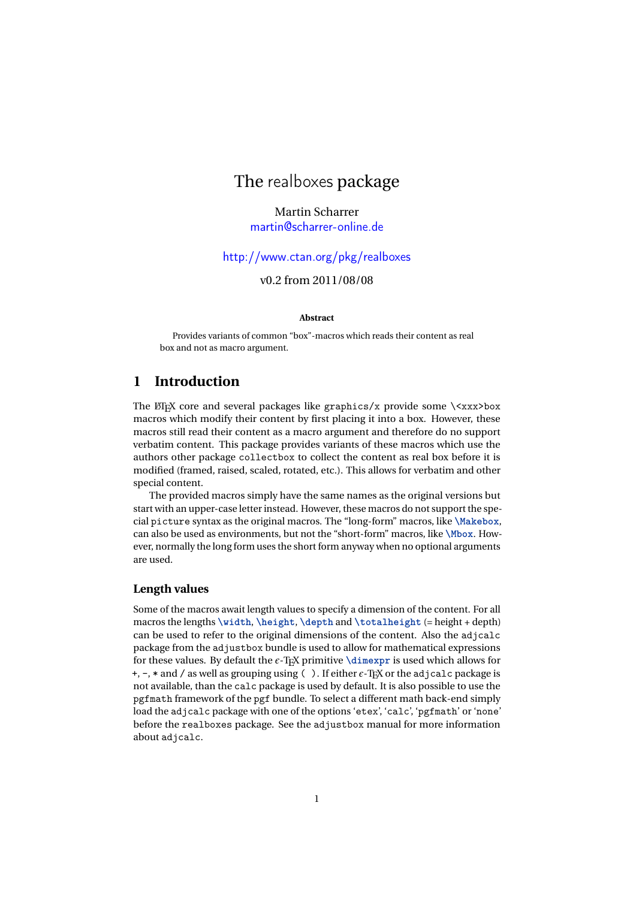# The realboxes package

Martin Scharrer <martin@scharrer-online.de>

# <http://www.ctan.org/pkg/realboxes>

v0.2 from 2011/08/08

#### **Abstract**

Provides variants of common "box"-macros which reads their content as real box and not as macro argument.

# **1 Introduction**

The  $\text{MFX}$  core and several packages like graphics/x provide some  $\text{XXX} > \text{box}$ macros which modify their content by first placing it into a box. However, these macros still read their content as a macro argument and therefore do no support verbatim content. This package provides variants of these macros which use the authors other package collectbox to collect the content as real box before it is modified (framed, raised, scaled, rotated, etc.). This allows for verbatim and other special content.

The provided macros simply have the same names as the original versions but start with an upper-case letter instead. However, these macros do not support the special picture syntax as the original macros. The "long-form" macros, like **\Makebox**, can also be used as environments, but not the "short-form" macros, like **\Mbox**. However, normally the long form uses the short form anyway when no optional arguments are used.

### **Length values**

Some of the macros await length values to specify a dimension of the content. For all macros the lengths **\width**, **\height**, **\depth** and **\totalheight** (= height + depth) can be used to refer to the original dimensions of the content. Also the adjcalc package from the adjustbox bundle is used to allow for mathematical expressions for these values. By default the  $\epsilon$ -T<sub>E</sub>X primitive  $\dim \exp r$  is used which allows for +, -, \* and / as well as grouping using (). If either  $\epsilon$ -T<sub>E</sub>X or the adjcalc package is not available, than the calc package is used by default. It is also possible to use the pgfmath framework of the pgf bundle. To select a different math back-end simply load the adjcalc package with one of the options 'etex', 'calc', 'pgfmath' or 'none' before the realboxes package. See the adjustbox manual for more information about adjcalc.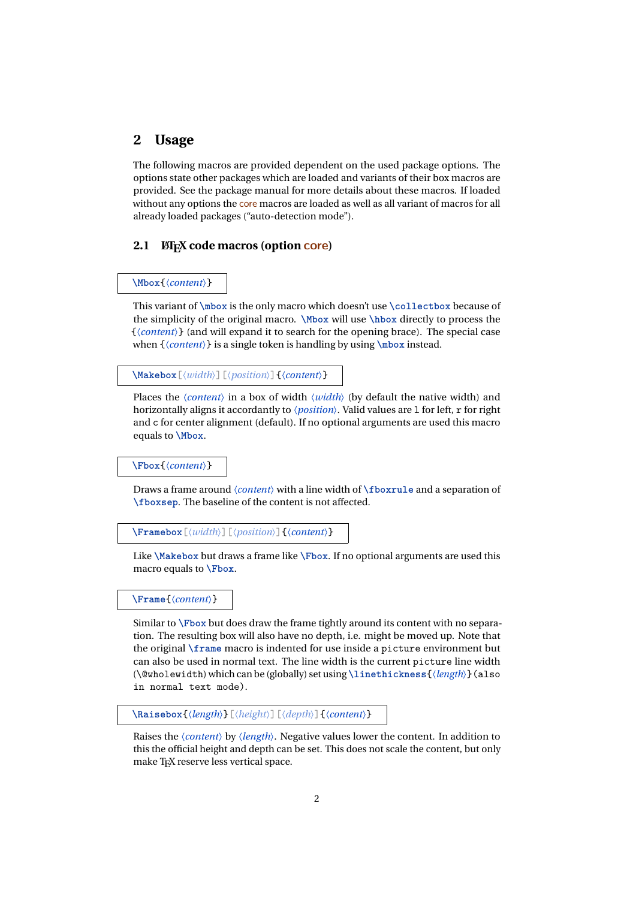# **2 Usage**

The following macros are provided dependent on the used package options. The options state other packages which are loaded and variants of their box macros are provided. See the package manual for more details about these macros. If loaded without any options the core macros are loaded as well as all variant of macros for all already loaded packages ("auto-detection mode").

### **2.1 LATEX code macros (option** core**)**

**\Mbox**{〈*content*〉}

This variant of **\mbox** is the only macro which doesn't use **\collectbox** because of the simplicity of the original macro. **\Mbox** will use **\hbox** directly to process the {〈*content*〉} (and will expand it to search for the opening brace). The special case when {〈*content*〉} is a single token is handling by using **\mbox** instead.

**\Makebox**[〈*width*〉][〈*position*〉]{〈*content*〉}

Places the *(content)* in a box of width  $\langle width \rangle$  (by default the native width) and horizontally aligns it accordantly to 〈*position*〉. Valid values are l for left, r for right and c for center alignment (default). If no optional arguments are used this macro equals to **\Mbox**.

**\Fbox**{〈*content*〉}

Draws a frame around 〈*content*〉 with a line width of **\fboxrule** and a separation of **\fboxsep**. The baseline of the content is not affected.

**\Framebox**[〈*width*〉][〈*position*〉]{〈*content*〉}

Like **\Makebox** but draws a frame like **\Fbox**. If no optional arguments are used this macro equals to **\Fbox**.

**\Frame**{〈*content*〉}

Similar to **\Fbox** but does draw the frame tightly around its content with no separation. The resulting box will also have no depth, i.e. might be moved up. Note that the original **\frame** macro is indented for use inside a picture environment but can also be used in normal text. The line width is the current picture line width (\@wholewidth) which can be (globally) set using **\linethickness**{〈*length*〉}(also in normal text mode).

**\Raisebox**{〈*length*〉}[〈*height*〉][〈*depth*〉]{〈*content*〉}

Raises the 〈*content*〉 by 〈*length*〉. Negative values lower the content. In addition to this the official height and depth can be set. This does not scale the content, but only make T<sub>E</sub>X reserve less vertical space.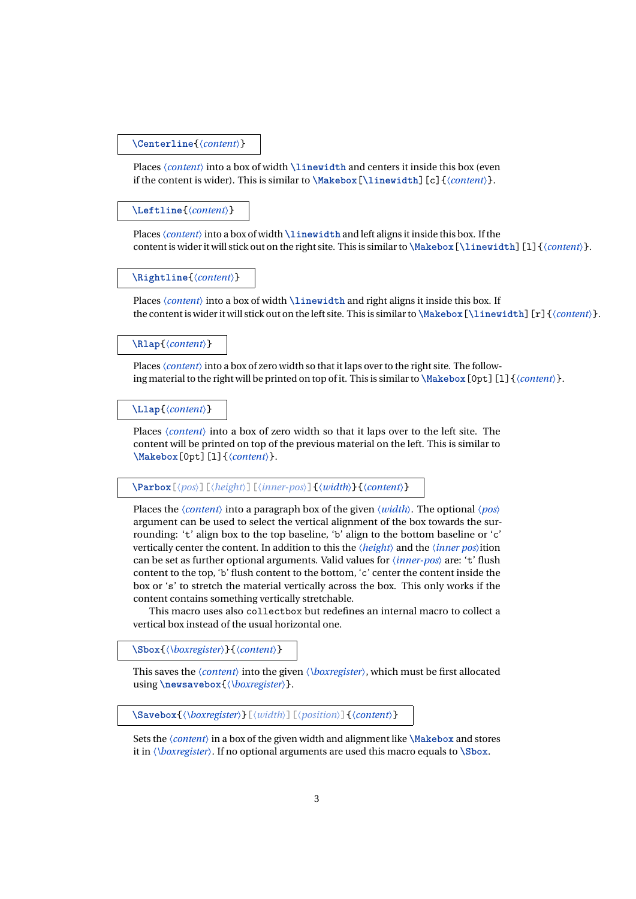#### **\Centerline**{〈*content*〉}

Places 〈*content*〉 into a box of width **\linewidth** and centers it inside this box (even if the content is wider). This is similar to **\Makebox**[**\linewidth**][c]{〈*content*〉}.

#### **\Leftline**{〈*content*〉}

Places 〈*content*〉into a box of width **\linewidth** and left aligns it inside this box. If the content is wider it will stick out on the right site. This is similar to **\Makebox**[**\linewidth**][l]{〈*content*〉}.

#### **\Rightline**{〈*content*〉}

Places 〈*content*〉 into a box of width **\linewidth** and right aligns it inside this box. If the content is wider it will stick out on the left site. This is similar to **\Makebox**[**\linewidth**][r]{〈*content*〉}.

### **\Rlap**{〈*content*〉}

Places *(content)* into a box of zero width so that it laps over to the right site. The following material to the right will be printed on top of it. This is similar to **\Makebox**[0pt][l]{〈*content*〉}.

#### **\Llap**{〈*content*〉}

Places 〈*content*〉 into a box of zero width so that it laps over to the left site. The content will be printed on top of the previous material on the left. This is similar to **\Makebox**[0pt][l]{〈*content*〉}.

**\Parbox**[〈*pos*〉][〈*height*〉][〈*inner-pos*〉]{〈*width*〉}{〈*content*〉}

Places the 〈*content*〉 into a paragraph box of the given 〈*width*〉. The optional 〈*pos*〉 argument can be used to select the vertical alignment of the box towards the surrounding: 't' align box to the top baseline, 'b' align to the bottom baseline or 'c' vertically center the content. In addition to this the 〈*height*〉 and the 〈*inner pos*〉ition can be set as further optional arguments. Valid values for 〈*inner-pos*〉 are: 't' flush content to the top, 'b' flush content to the bottom, 'c' center the content inside the box or 's' to stretch the material vertically across the box. This only works if the content contains something vertically stretchable.

This macro uses also collectbox but redefines an internal macro to collect a vertical box instead of the usual horizontal one.

**\Sbox**{〈*\boxregister*〉}{〈*content*〉}

This saves the 〈*content*〉 into the given 〈*\boxregister*〉, which must be first allocated using **\newsavebox**{〈*\boxregister*〉}.

```
\Savebox{〈\boxregister〉}[〈width〉][〈position〉]{〈content〉}
```
Sets the 〈*content*〉 in a box of the given width and alignment like **\Makebox** and stores it in 〈*\boxregister*〉. If no optional arguments are used this macro equals to **\Sbox**.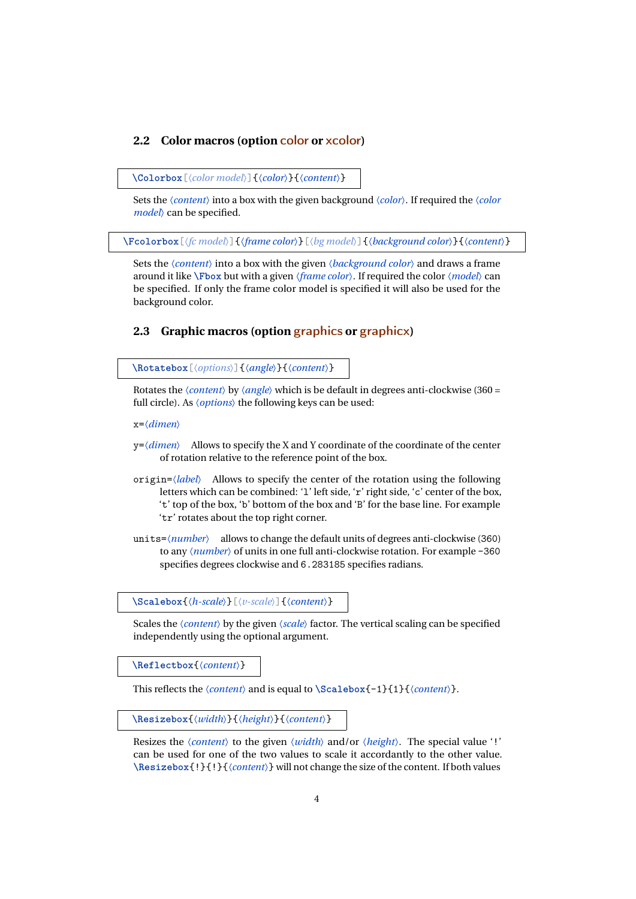# **2.2 Color macros (option** color **or** xcolor**)**

**\Colorbox**[〈*color model*〉]{〈*color*〉}{〈*content*〉}

Sets the 〈*content*〉 into a box with the given background 〈*color*〉. If required the 〈*color model*〉 can be specified.

**\Fcolorbox**[〈*fc model*〉]{〈*frame color*〉}[〈*bg model*〉]{〈*background color*〉}{〈*content*〉}

Sets the 〈*content*〉 into a box with the given 〈*background color*〉 and draws a frame around it like **\Fbox** but with a given 〈*frame color*〉. If required the color 〈*model*〉 can be specified. If only the frame color model is specified it will also be used for the background color.

# **2.3 Graphic macros (option** graphics **or** graphicx**)**

**\Rotatebox**[〈*options*〉]{〈*angle*〉}{〈*content*〉}

Rotates the 〈*content*〉 by 〈*angle*〉 which is be default in degrees anti-clockwise (360 = full circle). As 〈*options*〉 the following keys can be used:

x=〈*dimen*〉

- y=〈*dimen*〉 Allows to specify the X and Y coordinate of the coordinate of the center of rotation relative to the reference point of the box.
- origin=〈*label*〉 Allows to specify the center of the rotation using the following letters which can be combined: 'l' left side, 'r' right side, 'c' center of the box, 't' top of the box, 'b' bottom of the box and 'B' for the base line. For example 'tr' rotates about the top right corner.
- units=〈*number*〉 allows to change the default units of degrees anti-clockwise (360) to any 〈*number*〉 of units in one full anti-clockwise rotation. For example -360 specifies degrees clockwise and 6.283185 specifies radians.

**\Scalebox**{〈*h-scale*〉}[〈*v-scale*〉]{〈*content*〉}

Scales the 〈*content*〉 by the given 〈*scale*〉 factor. The vertical scaling can be specified independently using the optional argument.

**\Reflectbox**{〈*content*〉}

This reflects the 〈*content*〉 and is equal to **\Scalebox**{-1}{1}{〈*content*〉}.

**\Resizebox**{〈*width*〉}{〈*height*〉}{〈*content*〉}

Resizes the 〈*content*〉 to the given 〈*width*〉 and/or 〈*height*〉. The special value '!' can be used for one of the two values to scale it accordantly to the other value. **\Resizebox**{!}{!}{〈*content*〉} will not change the size of the content. If both values